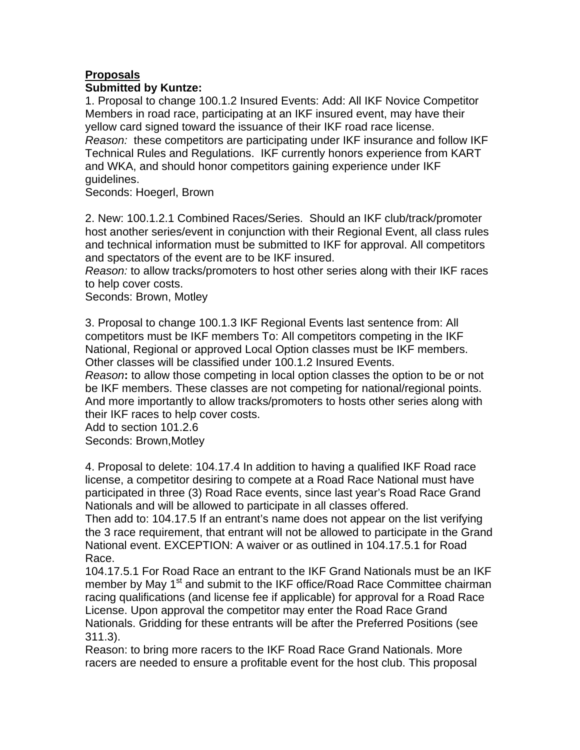# **Proposals**

## **Submitted by Kuntze:**

1. Proposal to change 100.1.2 Insured Events: Add: All IKF Novice Competitor Members in road race, participating at an IKF insured event, may have their yellow card signed toward the issuance of their IKF road race license. *Reason:*these competitors are participating under IKF insurance and follow IKF Technical Rules and Regulations. IKF currently honors experience from KART and WKA, and should honor competitors gaining experience under IKF guidelines.

Seconds: Hoegerl, Brown

2. New: 100.1.2.1 Combined Races/Series. Should an IKF club/track/promoter host another series/event in conjunction with their Regional Event, all class rules and technical information must be submitted to IKF for approval. All competitors and spectators of the event are to be IKF insured.

*Reason:* to allow tracks/promoters to host other series along with their IKF races to help cover costs.

Seconds: Brown, Motley

3. Proposal to change 100.1.3 IKF Regional Events last sentence from: All competitors must be IKF members To: All competitors competing in the IKF National, Regional or approved Local Option classes must be IKF members. Other classes will be classified under 100.1.2 Insured Events.

*Reason***:** to allow those competing in local option classes the option to be or not be IKF members. These classes are not competing for national/regional points. And more importantly to allow tracks/promoters to hosts other series along with their IKF races to help cover costs.

Add to section 101.2.6 Seconds: Brown,Motley

4. Proposal to delete: 104.17.4 In addition to having a qualified IKF Road race license, a competitor desiring to compete at a Road Race National must have participated in three (3) Road Race events, since last year's Road Race Grand Nationals and will be allowed to participate in all classes offered.

Then add to: 104.17.5 If an entrant's name does not appear on the list verifying the 3 race requirement, that entrant will not be allowed to participate in the Grand National event. EXCEPTION: A waiver or as outlined in 104.17.5.1 for Road Race.

104.17.5.1 For Road Race an entrant to the IKF Grand Nationals must be an IKF member by May 1<sup>st</sup> and submit to the IKF office/Road Race Committee chairman racing qualifications (and license fee if applicable) for approval for a Road Race License. Upon approval the competitor may enter the Road Race Grand Nationals. Gridding for these entrants will be after the Preferred Positions (see 311.3).

Reason: to bring more racers to the IKF Road Race Grand Nationals. More racers are needed to ensure a profitable event for the host club. This proposal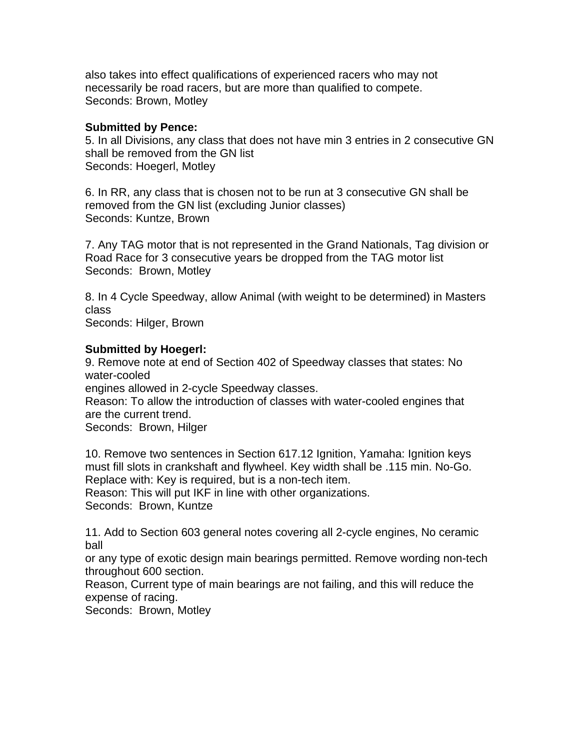also takes into effect qualifications of experienced racers who may not necessarily be road racers, but are more than qualified to compete. Seconds: Brown, Motley

### **Submitted by Pence:**

5. In all Divisions, any class that does not have min 3 entries in 2 consecutive GN shall be removed from the GN list Seconds: Hoegerl, Motley

6. In RR, any class that is chosen not to be run at 3 consecutive GN shall be removed from the GN list (excluding Junior classes) Seconds: Kuntze, Brown

7. Any TAG motor that is not represented in the Grand Nationals, Tag division or Road Race for 3 consecutive years be dropped from the TAG motor list Seconds: Brown, Motley

8. In 4 Cycle Speedway, allow Animal (with weight to be determined) in Masters class

Seconds: Hilger, Brown

## **Submitted by Hoegerl:**

9. Remove note at end of Section 402 of Speedway classes that states: No water-cooled

engines allowed in 2-cycle Speedway classes.

Reason: To allow the introduction of classes with water-cooled engines that are the current trend.

Seconds: Brown, Hilger

10. Remove two sentences in Section 617.12 Ignition, Yamaha: Ignition keys must fill slots in crankshaft and flywheel. Key width shall be .115 min. No-Go. Replace with: Key is required, but is a non-tech item.

Reason: This will put IKF in line with other organizations.

Seconds: Brown, Kuntze

11. Add to Section 603 general notes covering all 2-cycle engines, No ceramic ball

or any type of exotic design main bearings permitted. Remove wording non-tech throughout 600 section.

Reason, Current type of main bearings are not failing, and this will reduce the expense of racing.

Seconds: Brown, Motley